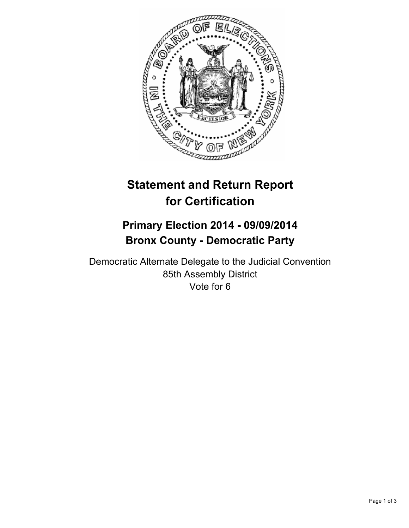

# **Statement and Return Report for Certification**

# **Primary Election 2014 - 09/09/2014 Bronx County - Democratic Party**

Democratic Alternate Delegate to the Judicial Convention 85th Assembly District Vote for 6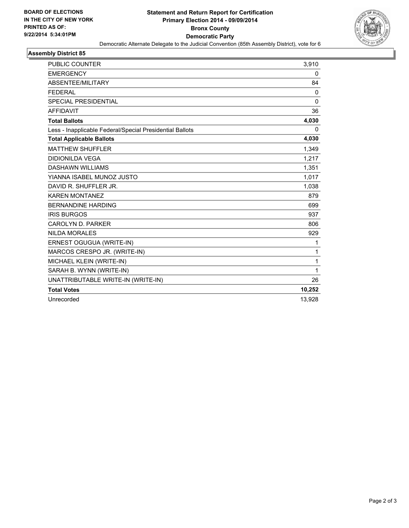

#### **Assembly District 85**

| <b>PUBLIC COUNTER</b>                                    | 3,910        |
|----------------------------------------------------------|--------------|
| <b>EMERGENCY</b>                                         | 0            |
| ABSENTEE/MILITARY                                        | 84           |
| <b>FEDERAL</b>                                           | $\Omega$     |
| <b>SPECIAL PRESIDENTIAL</b>                              | $\mathbf{0}$ |
| <b>AFFIDAVIT</b>                                         | 36           |
| <b>Total Ballots</b>                                     | 4,030        |
| Less - Inapplicable Federal/Special Presidential Ballots | 0            |
| <b>Total Applicable Ballots</b>                          | 4,030        |
| <b>MATTHEW SHUFFLER</b>                                  | 1,349        |
| <b>DIDIONILDA VEGA</b>                                   | 1,217        |
| <b>DASHAWN WILLIAMS</b>                                  | 1,351        |
| YIANNA ISABEL MUNOZ JUSTO                                | 1,017        |
| DAVID R. SHUFFLER JR.                                    | 1,038        |
| <b>KAREN MONTANEZ</b>                                    | 879          |
| <b>BERNANDINE HARDING</b>                                | 699          |
| <b>IRIS BURGOS</b>                                       | 937          |
| CAROLYN D. PARKER                                        | 806          |
| <b>NILDA MORALES</b>                                     | 929          |
| ERNEST OGUGUA (WRITE-IN)                                 | 1            |
| MARCOS CRESPO JR. (WRITE-IN)                             | $\mathbf{1}$ |
| MICHAEL KLEIN (WRITE-IN)                                 | 1            |
| SARAH B. WYNN (WRITE-IN)                                 | $\mathbf{1}$ |
| UNATTRIBUTABLE WRITE-IN (WRITE-IN)                       | 26           |
| <b>Total Votes</b>                                       | 10,252       |
| Unrecorded                                               | 13,928       |